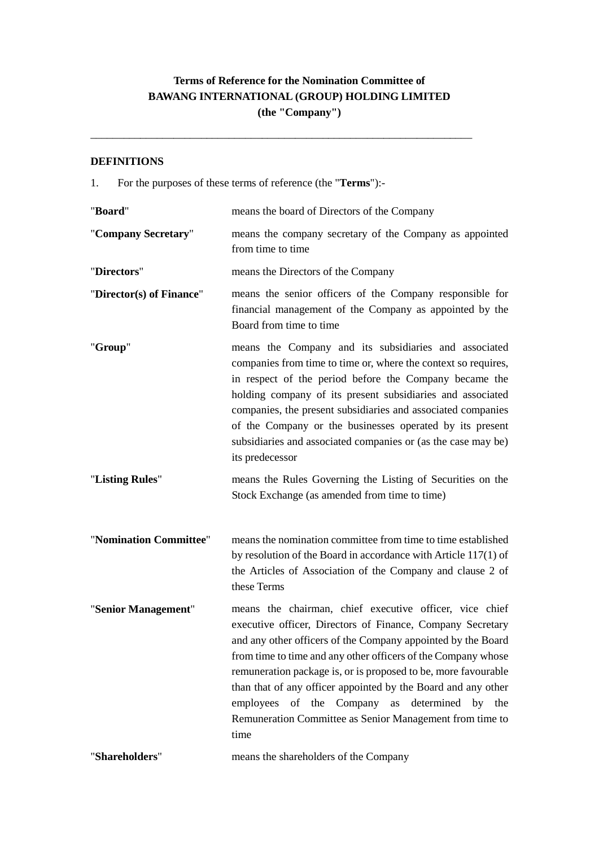# **Terms of Reference for the Nomination Committee of BAWANG INTERNATIONAL (GROUP) HOLDING LIMITED (the "Company")**

\_\_\_\_\_\_\_\_\_\_\_\_\_\_\_\_\_\_\_\_\_\_\_\_\_\_\_\_\_\_\_\_\_\_\_\_\_\_\_\_\_\_\_\_\_\_\_\_\_\_\_\_\_\_\_\_\_\_\_\_\_\_\_\_\_\_\_\_\_

## **DEFINITIONS**

1. For the purposes of these terms of reference (the "**Terms**"):-

| "Board"                  | means the board of Directors of the Company                                                                                                                                                                                                                                                                                                                                                                                                                                                                       |
|--------------------------|-------------------------------------------------------------------------------------------------------------------------------------------------------------------------------------------------------------------------------------------------------------------------------------------------------------------------------------------------------------------------------------------------------------------------------------------------------------------------------------------------------------------|
| "Company Secretary"      | means the company secretary of the Company as appointed<br>from time to time                                                                                                                                                                                                                                                                                                                                                                                                                                      |
| "Directors"              | means the Directors of the Company                                                                                                                                                                                                                                                                                                                                                                                                                                                                                |
| "Director(s) of Finance" | means the senior officers of the Company responsible for<br>financial management of the Company as appointed by the<br>Board from time to time                                                                                                                                                                                                                                                                                                                                                                    |
| "Group"                  | means the Company and its subsidiaries and associated<br>companies from time to time or, where the context so requires,<br>in respect of the period before the Company became the<br>holding company of its present subsidiaries and associated<br>companies, the present subsidiaries and associated companies<br>of the Company or the businesses operated by its present<br>subsidiaries and associated companies or (as the case may be)<br>its predecessor                                                   |
| "Listing Rules"          | means the Rules Governing the Listing of Securities on the<br>Stock Exchange (as amended from time to time)                                                                                                                                                                                                                                                                                                                                                                                                       |
| "Nomination Committee"   | means the nomination committee from time to time established<br>by resolution of the Board in accordance with Article $117(1)$ of<br>the Articles of Association of the Company and clause 2 of<br>these Terms                                                                                                                                                                                                                                                                                                    |
| "Senior Management"      | means the chairman, chief executive officer, vice chief<br>executive officer, Directors of Finance, Company Secretary<br>and any other officers of the Company appointed by the Board<br>from time to time and any other officers of the Company whose<br>remuneration package is, or is proposed to be, more favourable<br>than that of any officer appointed by the Board and any other<br>employees of the Company as<br>determined by the<br>Remuneration Committee as Senior Management from time to<br>time |
| "Shareholders"           | means the shareholders of the Company                                                                                                                                                                                                                                                                                                                                                                                                                                                                             |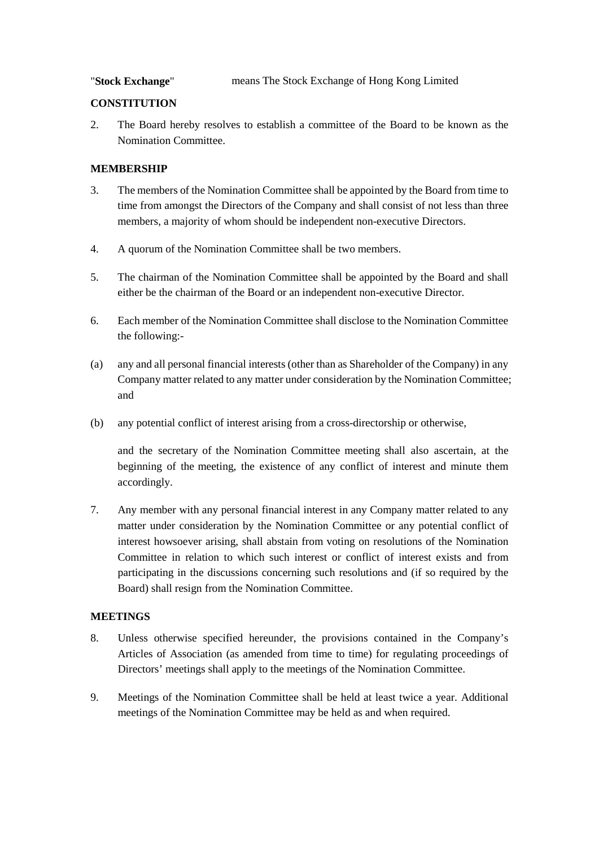"**Stock Exchange**" means The Stock Exchange of Hong Kong Limited

### **CONSTITUTION**

2. The Board hereby resolves to establish a committee of the Board to be known as the Nomination Committee.

## **MEMBERSHIP**

- 3. The members of the Nomination Committee shall be appointed by the Board from time to time from amongst the Directors of the Company and shall consist of not less than three members, a majority of whom should be independent non-executive Directors.
- 4. A quorum of the Nomination Committee shall be two members.
- 5. The chairman of the Nomination Committee shall be appointed by the Board and shall either be the chairman of the Board or an independent non-executive Director.
- 6. Each member of the Nomination Committee shall disclose to the Nomination Committee the following:-
- (a) any and all personal financial interests (other than as Shareholder of the Company) in any Company matter related to any matter under consideration by the Nomination Committee; and
- (b) any potential conflict of interest arising from a cross-directorship or otherwise,

and the secretary of the Nomination Committee meeting shall also ascertain, at the beginning of the meeting, the existence of any conflict of interest and minute them accordingly.

7. Any member with any personal financial interest in any Company matter related to any matter under consideration by the Nomination Committee or any potential conflict of interest howsoever arising, shall abstain from voting on resolutions of the Nomination Committee in relation to which such interest or conflict of interest exists and from participating in the discussions concerning such resolutions and (if so required by the Board) shall resign from the Nomination Committee.

# **MEETINGS**

- 8. Unless otherwise specified hereunder, the provisions contained in the Company's Articles of Association (as amended from time to time) for regulating proceedings of Directors' meetings shall apply to the meetings of the Nomination Committee.
- 9. Meetings of the Nomination Committee shall be held at least twice a year. Additional meetings of the Nomination Committee may be held as and when required.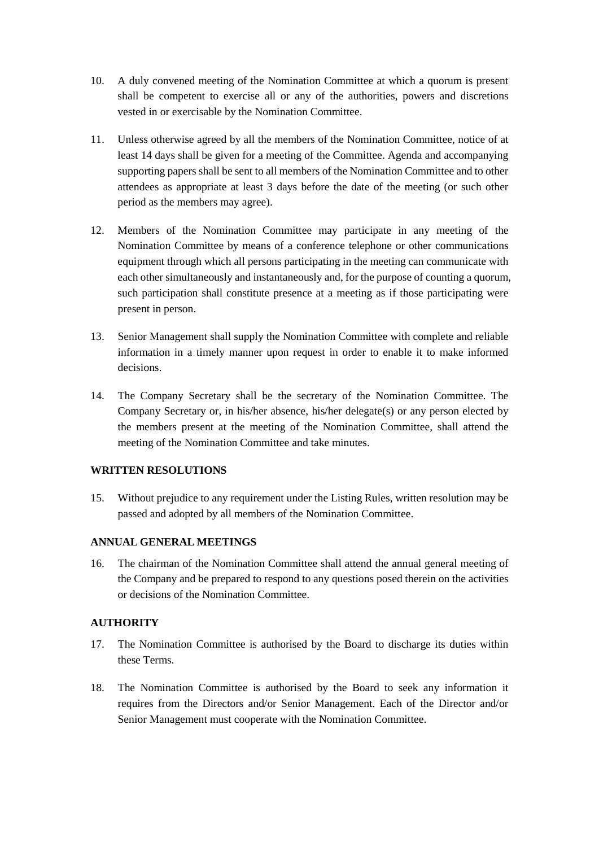- 10. A duly convened meeting of the Nomination Committee at which a quorum is present shall be competent to exercise all or any of the authorities, powers and discretions vested in or exercisable by the Nomination Committee.
- 11. Unless otherwise agreed by all the members of the Nomination Committee, notice of at least 14 days shall be given for a meeting of the Committee. Agenda and accompanying supporting papers shall be sent to all members of the Nomination Committee and to other attendees as appropriate at least 3 days before the date of the meeting (or such other period as the members may agree).
- 12. Members of the Nomination Committee may participate in any meeting of the Nomination Committee by means of a conference telephone or other communications equipment through which all persons participating in the meeting can communicate with each other simultaneously and instantaneously and, for the purpose of counting a quorum, such participation shall constitute presence at a meeting as if those participating were present in person.
- 13. Senior Management shall supply the Nomination Committee with complete and reliable information in a timely manner upon request in order to enable it to make informed decisions.
- 14. The Company Secretary shall be the secretary of the Nomination Committee. The Company Secretary or, in his/her absence, his/her delegate(s) or any person elected by the members present at the meeting of the Nomination Committee, shall attend the meeting of the Nomination Committee and take minutes.

# **WRITTEN RESOLUTIONS**

15. Without prejudice to any requirement under the Listing Rules, written resolution may be passed and adopted by all members of the Nomination Committee.

# **ANNUAL GENERAL MEETINGS**

16. The chairman of the Nomination Committee shall attend the annual general meeting of the Company and be prepared to respond to any questions posed therein on the activities or decisions of the Nomination Committee.

# **AUTHORITY**

- 17. The Nomination Committee is authorised by the Board to discharge its duties within these Terms.
- 18. The Nomination Committee is authorised by the Board to seek any information it requires from the Directors and/or Senior Management. Each of the Director and/or Senior Management must cooperate with the Nomination Committee.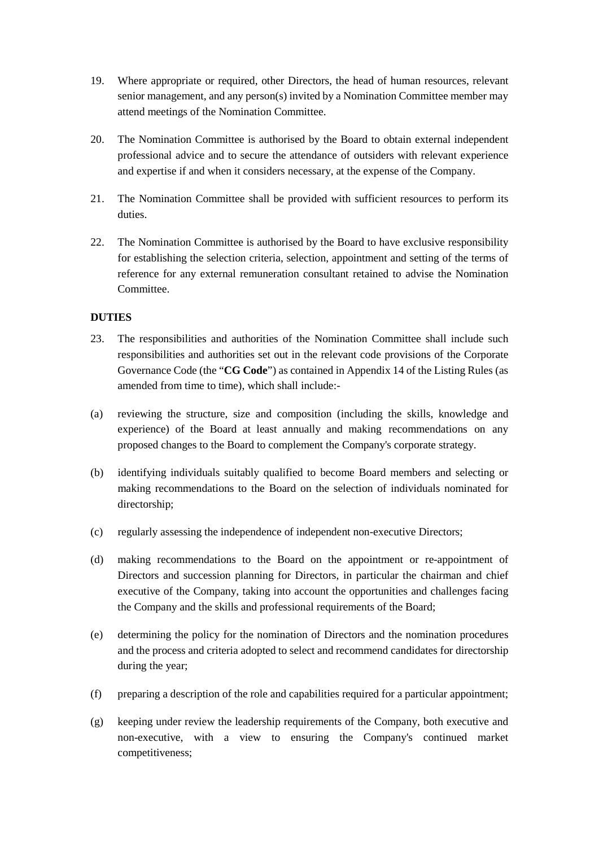- 19. Where appropriate or required, other Directors, the head of human resources, relevant senior management, and any person(s) invited by a Nomination Committee member may attend meetings of the Nomination Committee.
- 20. The Nomination Committee is authorised by the Board to obtain external independent professional advice and to secure the attendance of outsiders with relevant experience and expertise if and when it considers necessary, at the expense of the Company.
- 21. The Nomination Committee shall be provided with sufficient resources to perform its duties.
- 22. The Nomination Committee is authorised by the Board to have exclusive responsibility for establishing the selection criteria, selection, appointment and setting of the terms of reference for any external remuneration consultant retained to advise the Nomination Committee.

# **DUTIES**

- 23. The responsibilities and authorities of the Nomination Committee shall include such responsibilities and authorities set out in the relevant code provisions of the Corporate Governance Code (the "**CG Code**") as contained in Appendix 14 of the Listing Rules (as amended from time to time), which shall include:-
- (a) reviewing the structure, size and composition (including the skills, knowledge and experience) of the Board at least annually and making recommendations on any proposed changes to the Board to complement the Company's corporate strategy.
- (b) identifying individuals suitably qualified to become Board members and selecting or making recommendations to the Board on the selection of individuals nominated for directorship;
- (c) regularly assessing the independence of independent non-executive Directors;
- (d) making recommendations to the Board on the appointment or re-appointment of Directors and succession planning for Directors, in particular the chairman and chief executive of the Company, taking into account the opportunities and challenges facing the Company and the skills and professional requirements of the Board;
- (e) determining the policy for the nomination of Directors and the nomination procedures and the process and criteria adopted to select and recommend candidates for directorship during the year;
- (f) preparing a description of the role and capabilities required for a particular appointment;
- (g) keeping under review the leadership requirements of the Company, both executive and non-executive, with a view to ensuring the Company's continued market competitiveness;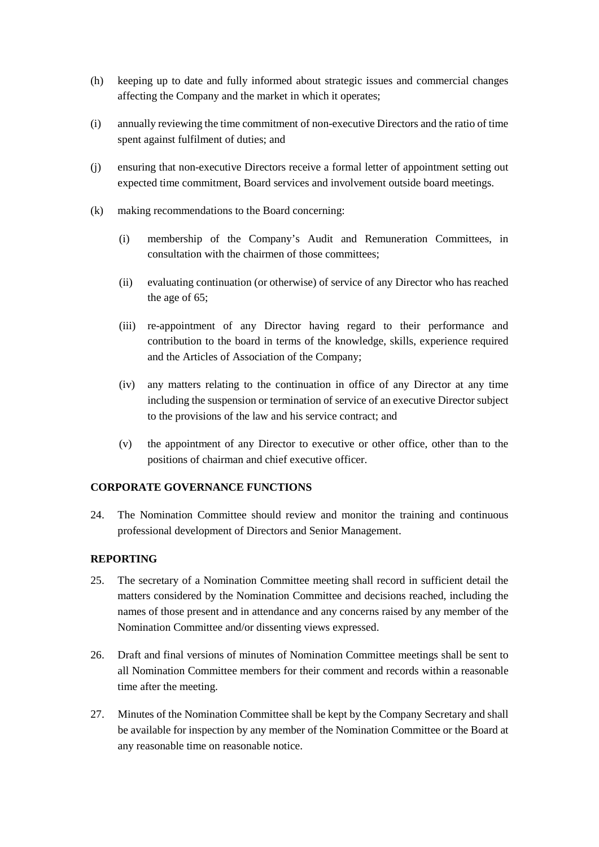- (h) keeping up to date and fully informed about strategic issues and commercial changes affecting the Company and the market in which it operates;
- (i) annually reviewing the time commitment of non-executive Directors and the ratio of time spent against fulfilment of duties; and
- (j) ensuring that non-executive Directors receive a formal letter of appointment setting out expected time commitment, Board services and involvement outside board meetings.
- (k) making recommendations to the Board concerning:
	- (i) membership of the Company's Audit and Remuneration Committees, in consultation with the chairmen of those committees;
	- (ii) evaluating continuation (or otherwise) of service of any Director who has reached the age of 65;
	- (iii) re-appointment of any Director having regard to their performance and contribution to the board in terms of the knowledge, skills, experience required and the Articles of Association of the Company;
	- (iv) any matters relating to the continuation in office of any Director at any time including the suspension or termination of service of an executive Director subject to the provisions of the law and his service contract; and
	- (v) the appointment of any Director to executive or other office, other than to the positions of chairman and chief executive officer.

#### **CORPORATE GOVERNANCE FUNCTIONS**

24. The Nomination Committee should review and monitor the training and continuous professional development of Directors and Senior Management.

### **REPORTING**

- 25. The secretary of a Nomination Committee meeting shall record in sufficient detail the matters considered by the Nomination Committee and decisions reached, including the names of those present and in attendance and any concerns raised by any member of the Nomination Committee and/or dissenting views expressed.
- 26. Draft and final versions of minutes of Nomination Committee meetings shall be sent to all Nomination Committee members for their comment and records within a reasonable time after the meeting.
- 27. Minutes of the Nomination Committee shall be kept by the Company Secretary and shall be available for inspection by any member of the Nomination Committee or the Board at any reasonable time on reasonable notice.